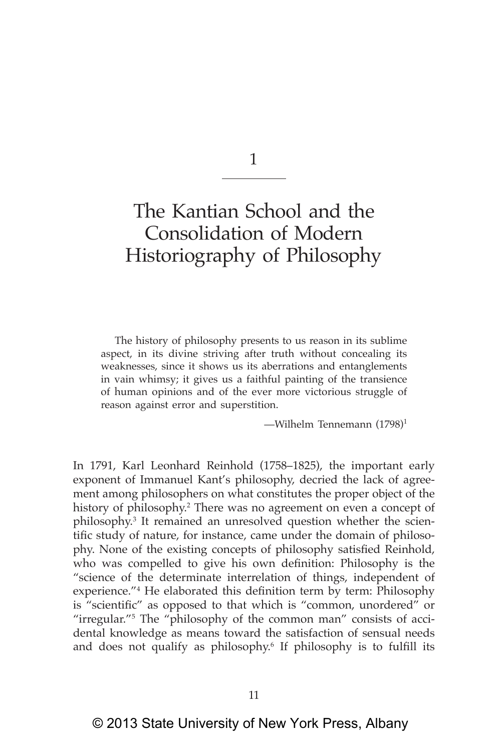1

## The Kantian School and the Consolidation of Modern Historiography of Philosophy

The history of philosophy presents to us reason in its sublime aspect, in its divine striving after truth without concealing its weaknesses, since it shows us its aberrations and entanglements in vain whimsy; it gives us a faithful painting of the transience of human opinions and of the ever more victorious struggle of reason against error and superstition.

—Wilhelm Tennemann  $(1798)^1$ 

In 1791, Karl Leonhard Reinhold (1758–1825), the important early exponent of Immanuel Kant's philosophy, decried the lack of agreement among philosophers on what constitutes the proper object of the history of philosophy.<sup>2</sup> There was no agreement on even a concept of philosophy.3 It remained an unresolved question whether the scientific study of nature, for instance, came under the domain of philosophy. None of the existing concepts of philosophy satisfied Reinhold, who was compelled to give his own definition: Philosophy is the "science of the determinate interrelation of things, independent of experience."4 He elaborated this definition term by term: Philosophy is "scientific" as opposed to that which is "common, unordered" or "irregular."5 The "philosophy of the common man" consists of accidental knowledge as means toward the satisfaction of sensual needs and does not qualify as philosophy.6 If philosophy is to fulfill its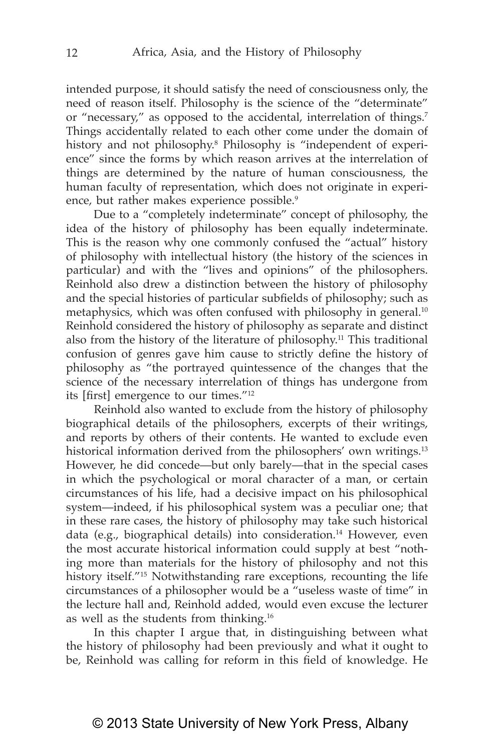intended purpose, it should satisfy the need of consciousness only, the need of reason itself. Philosophy is the science of the "determinate" or "necessary," as opposed to the accidental, interrelation of things.<sup>7</sup> Things accidentally related to each other come under the domain of history and not philosophy.8 Philosophy is "independent of experience" since the forms by which reason arrives at the interrelation of things are determined by the nature of human consciousness, the human faculty of representation, which does not originate in experience, but rather makes experience possible.<sup>9</sup>

Due to a "completely indeterminate" concept of philosophy, the idea of the history of philosophy has been equally indeterminate. This is the reason why one commonly confused the "actual" history of philosophy with intellectual history (the history of the sciences in particular) and with the "lives and opinions" of the philosophers. Reinhold also drew a distinction between the history of philosophy and the special histories of particular subfields of philosophy; such as metaphysics, which was often confused with philosophy in general.<sup>10</sup> Reinhold considered the history of philosophy as separate and distinct also from the history of the literature of philosophy.11 This traditional confusion of genres gave him cause to strictly define the history of philosophy as "the portrayed quintessence of the changes that the science of the necessary interrelation of things has undergone from its [first] emergence to our times."<sup>12</sup>

Reinhold also wanted to exclude from the history of philosophy biographical details of the philosophers, excerpts of their writings, and reports by others of their contents. He wanted to exclude even historical information derived from the philosophers' own writings.<sup>13</sup> However, he did concede—but only barely—that in the special cases in which the psychological or moral character of a man, or certain circumstances of his life, had a decisive impact on his philosophical system—indeed, if his philosophical system was a peculiar one; that in these rare cases, the history of philosophy may take such historical data (e.g., biographical details) into consideration.<sup>14</sup> However, even the most accurate historical information could supply at best "nothing more than materials for the history of philosophy and not this history itself."<sup>15</sup> Notwithstanding rare exceptions, recounting the life circumstances of a philosopher would be a "useless waste of time" in the lecture hall and, Reinhold added, would even excuse the lecturer as well as the students from thinking.16

In this chapter I argue that, in distinguishing between what the history of philosophy had been previously and what it ought to be, Reinhold was calling for reform in this field of knowledge. He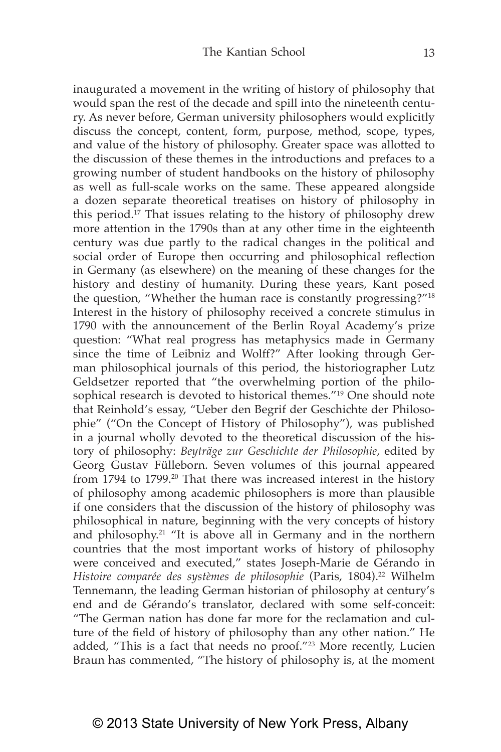inaugurated a movement in the writing of history of philosophy that would span the rest of the decade and spill into the nineteenth century. As never before, German university philosophers would explicitly discuss the concept, content, form, purpose, method, scope, types, and value of the history of philosophy. Greater space was allotted to the discussion of these themes in the introductions and prefaces to a growing number of student handbooks on the history of philosophy as well as full-scale works on the same. These appeared alongside a dozen separate theoretical treatises on history of philosophy in this period.<sup>17</sup> That issues relating to the history of philosophy drew more attention in the 1790s than at any other time in the eighteenth century was due partly to the radical changes in the political and social order of Europe then occurring and philosophical reflection in Germany (as elsewhere) on the meaning of these changes for the history and destiny of humanity. During these years, Kant posed the question, "Whether the human race is constantly progressing?"18 Interest in the history of philosophy received a concrete stimulus in 1790 with the announcement of the Berlin Royal Academy's prize question: "What real progress has metaphysics made in Germany since the time of Leibniz and Wolff?" After looking through German philosophical journals of this period, the historiographer Lutz Geldsetzer reported that "the overwhelming portion of the philosophical research is devoted to historical themes."<sup>19</sup> One should note that Reinhold's essay, "Ueber den Begrif der Geschichte der Philosophie" ("On the Concept of History of Philosophy"), was published in a journal wholly devoted to the theoretical discussion of the history of philosophy: *Beyträge zur Geschichte der Philosophie*, edited by Georg Gustav Fülleborn. Seven volumes of this journal appeared from 1794 to 1799.<sup>20</sup> That there was increased interest in the history of philosophy among academic philosophers is more than plausible if one considers that the discussion of the history of philosophy was philosophical in nature, beginning with the very concepts of history and philosophy.<sup>21</sup> "It is above all in Germany and in the northern countries that the most important works of history of philosophy were conceived and executed," states Joseph-Marie de Gérando in *Histoire comparée des systèmes de philosophie* (Paris, 1804).22 Wilhelm Tennemann, the leading German historian of philosophy at century's end and de Gérando's translator, declared with some self-conceit: "The German nation has done far more for the reclamation and culture of the field of history of philosophy than any other nation." He added, "This is a fact that needs no proof."23 More recently, Lucien Braun has commented, "The history of philosophy is, at the moment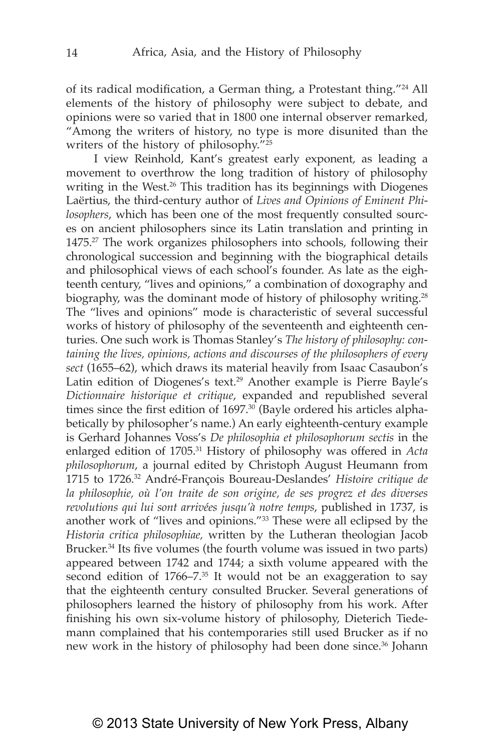of its radical modification, a German thing, a Protestant thing."24 All elements of the history of philosophy were subject to debate, and opinions were so varied that in 1800 one internal observer remarked, "Among the writers of history, no type is more disunited than the writers of the history of philosophy."<sup>25</sup>

I view Reinhold, Kant's greatest early exponent, as leading a movement to overthrow the long tradition of history of philosophy writing in the West.<sup>26</sup> This tradition has its beginnings with Diogenes Laërtius, the third-century author of *Lives and Opinions of Eminent Philosophers*, which has been one of the most frequently consulted sources on ancient philosophers since its Latin translation and printing in 1475.<sup>27</sup> The work organizes philosophers into schools, following their chronological succession and beginning with the biographical details and philosophical views of each school's founder. As late as the eighteenth century, "lives and opinions," a combination of doxography and biography, was the dominant mode of history of philosophy writing.<sup>28</sup> The "lives and opinions" mode is characteristic of several successful works of history of philosophy of the seventeenth and eighteenth centuries. One such work is Thomas Stanley's *The history of philosophy: containing the lives, opinions, actions and discourses of the philosophers of every sect* (1655–62), which draws its material heavily from Isaac Casaubon's Latin edition of Diogenes's text.<sup>29</sup> Another example is Pierre Bayle's *Dictionnaire historique et critique*, expanded and republished several times since the first edition of 1697.<sup>30</sup> (Bayle ordered his articles alphabetically by philosopher's name.) An early eighteenth-century example is Gerhard Johannes Voss's *De philosophia et philosophorum sectis* in the enlarged edition of 1705.31 History of philosophy was offered in *Acta philosophorum*, a journal edited by Christoph August Heumann from 1715 to 1726.32 André-François Boureau-Deslandes' *Histoire critique de la philosophie, où l'on traite de son origine, de ses progrez et des diverses revolutions qui lui sont arrivées jusqu'à notre temps*, published in 1737, is another work of "lives and opinions."33 These were all eclipsed by the *Historia critica philosophiae,* written by the Lutheran theologian Jacob Brucker.34 Its five volumes (the fourth volume was issued in two parts) appeared between 1742 and 1744; a sixth volume appeared with the second edition of  $1766-7.^{35}$  It would not be an exaggeration to say that the eighteenth century consulted Brucker. Several generations of philosophers learned the history of philosophy from his work. After finishing his own six-volume history of philosophy, Dieterich Tiedemann complained that his contemporaries still used Brucker as if no new work in the history of philosophy had been done since.36 Johann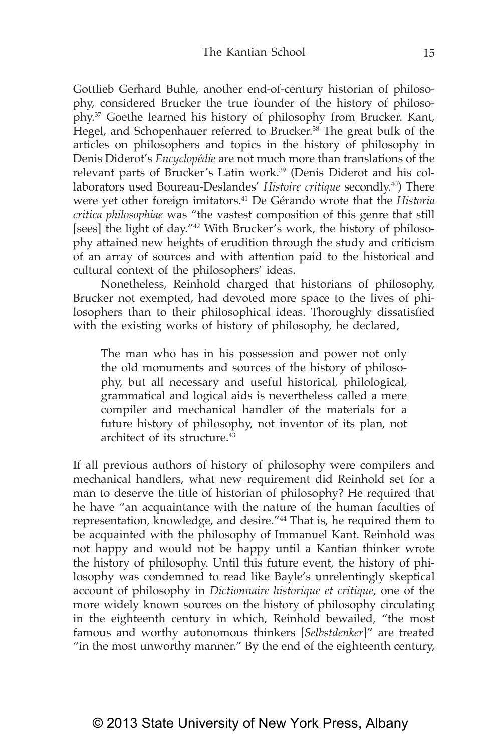Gottlieb Gerhard Buhle, another end-of-century historian of philosophy, considered Brucker the true founder of the history of philosophy.37 Goethe learned his history of philosophy from Brucker. Kant, Hegel, and Schopenhauer referred to Brucker.<sup>38</sup> The great bulk of the articles on philosophers and topics in the history of philosophy in Denis Diderot's *Encyclopédie* are not much more than translations of the relevant parts of Brucker's Latin work.<sup>39</sup> (Denis Diderot and his collaborators used Boureau-Deslandes' *Histoire critique* secondly.40) There were yet other foreign imitators.41 De Gérando wrote that the *Historia critica philosophiae* was "the vastest composition of this genre that still [sees] the light of day."<sup>42</sup> With Brucker's work, the history of philosophy attained new heights of erudition through the study and criticism of an array of sources and with attention paid to the historical and cultural context of the philosophers' ideas.

Nonetheless, Reinhold charged that historians of philosophy, Brucker not exempted, had devoted more space to the lives of philosophers than to their philosophical ideas. Thoroughly dissatisfied with the existing works of history of philosophy, he declared,

The man who has in his possession and power not only the old monuments and sources of the history of philosophy, but all necessary and useful historical, philological, grammatical and logical aids is nevertheless called a mere compiler and mechanical handler of the materials for a future history of philosophy, not inventor of its plan, not architect of its structure.<sup>43</sup>

If all previous authors of history of philosophy were compilers and mechanical handlers, what new requirement did Reinhold set for a man to deserve the title of historian of philosophy? He required that he have "an acquaintance with the nature of the human faculties of representation, knowledge, and desire."44 That is, he required them to be acquainted with the philosophy of Immanuel Kant. Reinhold was not happy and would not be happy until a Kantian thinker wrote the history of philosophy. Until this future event, the history of philosophy was condemned to read like Bayle's unrelentingly skeptical account of philosophy in *Dictionnaire historique et critique*, one of the more widely known sources on the history of philosophy circulating in the eighteenth century in which, Reinhold bewailed, "the most famous and worthy autonomous thinkers [*Selbstdenker*]" are treated "in the most unworthy manner." By the end of the eighteenth century,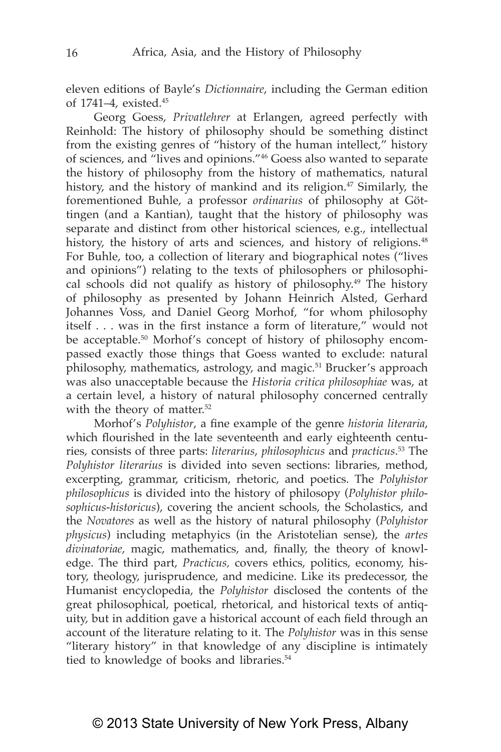eleven editions of Bayle's *Dictionnaire*, including the German edition of 1741–4, existed.45

Georg Goess, *Privatlehrer* at Erlangen, agreed perfectly with Reinhold: The history of philosophy should be something distinct from the existing genres of "history of the human intellect," history of sciences, and "lives and opinions."46 Goess also wanted to separate the history of philosophy from the history of mathematics, natural history, and the history of mankind and its religion.<sup>47</sup> Similarly, the forementioned Buhle, a professor *ordinarius* of philosophy at Göttingen (and a Kantian), taught that the history of philosophy was separate and distinct from other historical sciences, e.g., intellectual history, the history of arts and sciences, and history of religions.<sup>48</sup> For Buhle, too, a collection of literary and biographical notes ("lives and opinions") relating to the texts of philosophers or philosophical schools did not qualify as history of philosophy.49 The history of philosophy as presented by Johann Heinrich Alsted, Gerhard Johannes Voss, and Daniel Georg Morhof, "for whom philosophy itself . . . was in the first instance a form of literature," would not be acceptable.<sup>50</sup> Morhof's concept of history of philosophy encompassed exactly those things that Goess wanted to exclude: natural philosophy, mathematics, astrology, and magic.<sup>51</sup> Brucker's approach was also unacceptable because the *Historia critica philosophiae* was, at a certain level, a history of natural philosophy concerned centrally with the theory of matter.<sup>52</sup>

Morhof's *Polyhistor*, a fine example of the genre *historia literaria*, which flourished in the late seventeenth and early eighteenth centuries, consists of three parts: *literarius*, *philosophicus* and *practicus*. 53 The *Polyhistor literarius* is divided into seven sections: libraries, method, excerpting, grammar, criticism, rhetoric, and poetics. The *Polyhistor philosophicus* is divided into the history of philosopy (*Polyhistor philosophicus-historicus*), covering the ancient schools, the Scholastics, and the *Novatores* as well as the history of natural philosophy (*Polyhistor physicus*) including metaphyics (in the Aristotelian sense), the *artes divinatoriae*, magic, mathematics, and, finally, the theory of knowledge. The third part, *Practicus,* covers ethics, politics, economy, history, theology, jurisprudence, and medicine. Like its predecessor, the Humanist encyclopedia, the *Polyhistor* disclosed the contents of the great philosophical, poetical, rhetorical, and historical texts of antiquity, but in addition gave a historical account of each field through an account of the literature relating to it. The *Polyhistor* was in this sense "literary history" in that knowledge of any discipline is intimately tied to knowledge of books and libraries.<sup>54</sup>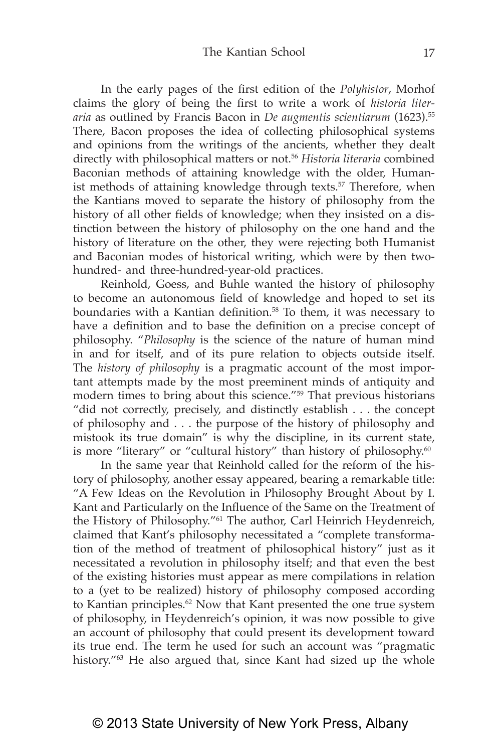In the early pages of the first edition of the *Polyhistor*, Morhof claims the glory of being the first to write a work of *historia literaria* as outlined by Francis Bacon in *De augmentis scientiarum* (1623).55 There, Bacon proposes the idea of collecting philosophical systems and opinions from the writings of the ancients, whether they dealt directly with philosophical matters or not.56 *Historia literaria* combined Baconian methods of attaining knowledge with the older, Humanist methods of attaining knowledge through texts.<sup>57</sup> Therefore, when the Kantians moved to separate the history of philosophy from the history of all other fields of knowledge; when they insisted on a distinction between the history of philosophy on the one hand and the history of literature on the other, they were rejecting both Humanist and Baconian modes of historical writing, which were by then twohundred- and three-hundred-year-old practices.

Reinhold, Goess, and Buhle wanted the history of philosophy to become an autonomous field of knowledge and hoped to set its boundaries with a Kantian definition.<sup>58</sup> To them, it was necessary to have a definition and to base the definition on a precise concept of philosophy. "*Philosophy* is the science of the nature of human mind in and for itself, and of its pure relation to objects outside itself. The *history of philosophy* is a pragmatic account of the most important attempts made by the most preeminent minds of antiquity and modern times to bring about this science."59 That previous historians "did not correctly, precisely, and distinctly establish . . . the concept of philosophy and . . . the purpose of the history of philosophy and mistook its true domain" is why the discipline, in its current state, is more "literary" or "cultural history" than history of philosophy.<sup>60</sup>

In the same year that Reinhold called for the reform of the history of philosophy, another essay appeared, bearing a remarkable title: "A Few Ideas on the Revolution in Philosophy Brought About by I. Kant and Particularly on the Influence of the Same on the Treatment of the History of Philosophy."61 The author, Carl Heinrich Heydenreich, claimed that Kant's philosophy necessitated a "complete transformation of the method of treatment of philosophical history" just as it necessitated a revolution in philosophy itself; and that even the best of the existing histories must appear as mere compilations in relation to a (yet to be realized) history of philosophy composed according to Kantian principles.<sup>62</sup> Now that Kant presented the one true system of philosophy, in Heydenreich's opinion, it was now possible to give an account of philosophy that could present its development toward its true end. The term he used for such an account was "pragmatic history."<sup>63</sup> He also argued that, since Kant had sized up the whole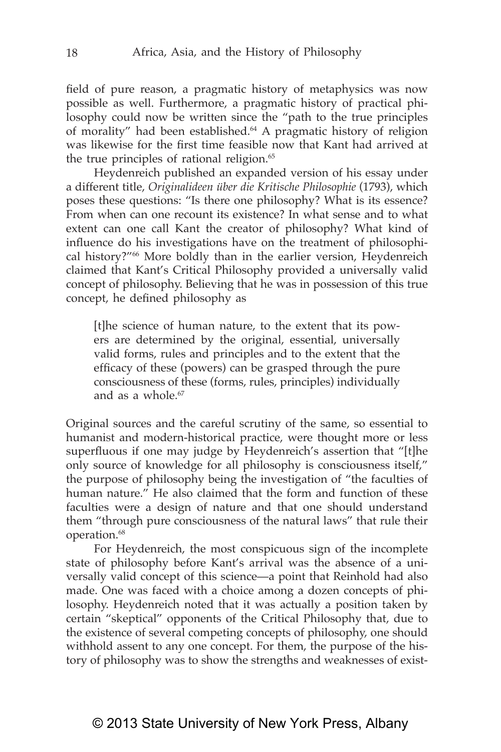field of pure reason, a pragmatic history of metaphysics was now possible as well. Furthermore, a pragmatic history of practical philosophy could now be written since the "path to the true principles of morality" had been established.<sup>64</sup> A pragmatic history of religion was likewise for the first time feasible now that Kant had arrived at the true principles of rational religion.<sup>65</sup>

Heydenreich published an expanded version of his essay under a different title, *Originalideen über die Kritische Philosophie* (1793), which poses these questions: "Is there one philosophy? What is its essence? From when can one recount its existence? In what sense and to what extent can one call Kant the creator of philosophy? What kind of influence do his investigations have on the treatment of philosophical history?"66 More boldly than in the earlier version, Heydenreich claimed that Kant's Critical Philosophy provided a universally valid concept of philosophy. Believing that he was in possession of this true concept, he defined philosophy as

[t]he science of human nature, to the extent that its powers are determined by the original, essential, universally valid forms, rules and principles and to the extent that the efficacy of these (powers) can be grasped through the pure consciousness of these (forms, rules, principles) individually and as a whole.<sup>67</sup>

Original sources and the careful scrutiny of the same, so essential to humanist and modern-historical practice, were thought more or less superfluous if one may judge by Heydenreich's assertion that "[t]he only source of knowledge for all philosophy is consciousness itself," the purpose of philosophy being the investigation of "the faculties of human nature." He also claimed that the form and function of these faculties were a design of nature and that one should understand them "through pure consciousness of the natural laws" that rule their operation.<sup>68</sup>

For Heydenreich, the most conspicuous sign of the incomplete state of philosophy before Kant's arrival was the absence of a universally valid concept of this science—a point that Reinhold had also made. One was faced with a choice among a dozen concepts of philosophy. Heydenreich noted that it was actually a position taken by certain "skeptical" opponents of the Critical Philosophy that, due to the existence of several competing concepts of philosophy, one should withhold assent to any one concept. For them, the purpose of the history of philosophy was to show the strengths and weaknesses of exist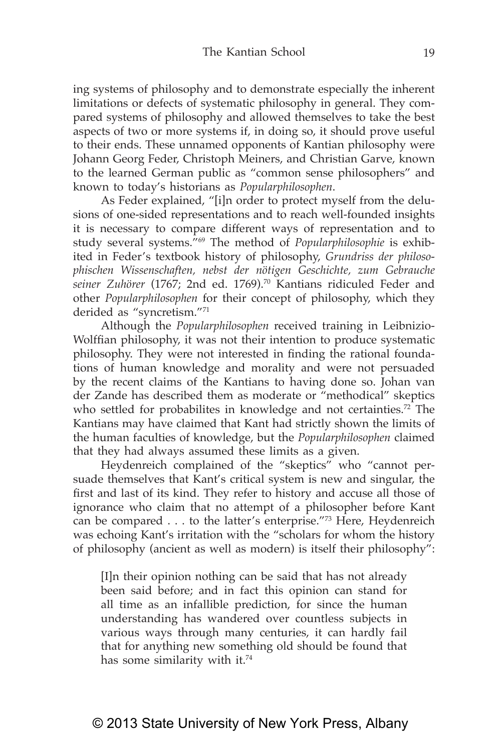ing systems of philosophy and to demonstrate especially the inherent limitations or defects of systematic philosophy in general. They compared systems of philosophy and allowed themselves to take the best aspects of two or more systems if, in doing so, it should prove useful to their ends. These unnamed opponents of Kantian philosophy were Johann Georg Feder, Christoph Meiners, and Christian Garve, known to the learned German public as "common sense philosophers" and known to today's historians as *Popularphilosophen*.

As Feder explained, "[i]n order to protect myself from the delusions of one-sided representations and to reach well-founded insights it is necessary to compare different ways of representation and to study several systems."69 The method of *Popularphilosophie* is exhibited in Feder's textbook history of philosophy, *Grundriss der philosophischen Wissenschaften, nebst der nötigen Geschichte, zum Gebrauche seiner Zuhörer* (1767; 2nd ed. 1769).70 Kantians ridiculed Feder and other *Popularphilosophen* for their concept of philosophy, which they derided as "syncretism."71

Although the *Popularphilosophen* received training in Leibnizio-Wolffian philosophy, it was not their intention to produce systematic philosophy. They were not interested in finding the rational foundations of human knowledge and morality and were not persuaded by the recent claims of the Kantians to having done so. Johan van der Zande has described them as moderate or "methodical" skeptics who settled for probabilites in knowledge and not certainties.<sup>72</sup> The Kantians may have claimed that Kant had strictly shown the limits of the human faculties of knowledge, but the *Popularphilosophen* claimed that they had always assumed these limits as a given.

Heydenreich complained of the "skeptics" who "cannot persuade themselves that Kant's critical system is new and singular, the first and last of its kind. They refer to history and accuse all those of ignorance who claim that no attempt of a philosopher before Kant can be compared . . . to the latter's enterprise."73 Here, Heydenreich was echoing Kant's irritation with the "scholars for whom the history of philosophy (ancient as well as modern) is itself their philosophy":

[I]n their opinion nothing can be said that has not already been said before; and in fact this opinion can stand for all time as an infallible prediction, for since the human understanding has wandered over countless subjects in various ways through many centuries, it can hardly fail that for anything new something old should be found that has some similarity with it.<sup>74</sup>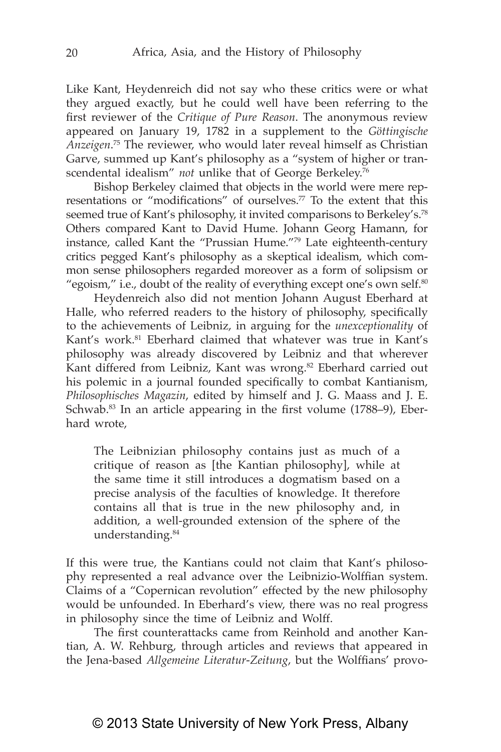Like Kant, Heydenreich did not say who these critics were or what they argued exactly, but he could well have been referring to the first reviewer of the *Critique of Pure Reason*. The anonymous review appeared on January 19, 1782 in a supplement to the *Göttingische Anzeigen*. 75 The reviewer, who would later reveal himself as Christian Garve, summed up Kant's philosophy as a "system of higher or transcendental idealism" not unlike that of George Berkeley.<sup>76</sup>

Bishop Berkeley claimed that objects in the world were mere representations or "modifications" of ourselves.<sup>77</sup> To the extent that this seemed true of Kant's philosophy, it invited comparisons to Berkeley's.<sup>78</sup> Others compared Kant to David Hume. Johann Georg Hamann, for instance, called Kant the "Prussian Hume."79 Late eighteenth-century critics pegged Kant's philosophy as a skeptical idealism, which common sense philosophers regarded moreover as a form of solipsism or "egoism," i.e., doubt of the reality of everything except one's own self. $80$ 

Heydenreich also did not mention Johann August Eberhard at Halle, who referred readers to the history of philosophy, specifically to the achievements of Leibniz, in arguing for the *unexceptionality* of Kant's work.<sup>81</sup> Eberhard claimed that whatever was true in Kant's philosophy was already discovered by Leibniz and that wherever Kant differed from Leibniz, Kant was wrong.<sup>82</sup> Eberhard carried out his polemic in a journal founded specifically to combat Kantianism, *Philosophisches Magazin*, edited by himself and J. G. Maass and J. E. Schwab.<sup>83</sup> In an article appearing in the first volume (1788–9), Eberhard wrote,

The Leibnizian philosophy contains just as much of a critique of reason as [the Kantian philosophy], while at the same time it still introduces a dogmatism based on a precise analysis of the faculties of knowledge. It therefore contains all that is true in the new philosophy and, in addition, a well-grounded extension of the sphere of the understanding.84

If this were true, the Kantians could not claim that Kant's philosophy represented a real advance over the Leibnizio-Wolffian system. Claims of a "Copernican revolution" effected by the new philosophy would be unfounded. In Eberhard's view, there was no real progress in philosophy since the time of Leibniz and Wolff.

The first counterattacks came from Reinhold and another Kantian, A. W. Rehburg, through articles and reviews that appeared in the Jena-based *Allgemeine Literatur-Zeitung*, but the Wolffians' provo-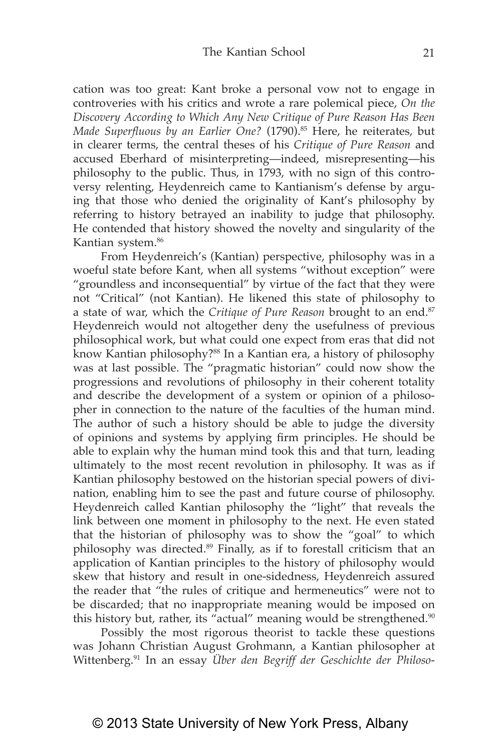cation was too great: Kant broke a personal vow not to engage in controveries with his critics and wrote a rare polemical piece, *On the Discovery According to Which Any New Critique of Pure Reason Has Been Made Superfluous by an Earlier One?* (1790).85 Here, he reiterates, but in clearer terms, the central theses of his *Critique of Pure Reason* and accused Eberhard of misinterpreting—indeed, misrepresenting—his philosophy to the public. Thus, in 1793, with no sign of this controversy relenting, Heydenreich came to Kantianism's defense by arguing that those who denied the originality of Kant's philosophy by referring to history betrayed an inability to judge that philosophy. He contended that history showed the novelty and singularity of the Kantian system.<sup>86</sup>

From Heydenreich's (Kantian) perspective, philosophy was in a woeful state before Kant, when all systems "without exception" were "groundless and inconsequential" by virtue of the fact that they were not "Critical" (not Kantian). He likened this state of philosophy to a state of war, which the *Critique of Pure Reason* brought to an end.<sup>87</sup> Heydenreich would not altogether deny the usefulness of previous philosophical work, but what could one expect from eras that did not know Kantian philosophy?88 In a Kantian era, a history of philosophy was at last possible. The "pragmatic historian" could now show the progressions and revolutions of philosophy in their coherent totality and describe the development of a system or opinion of a philosopher in connection to the nature of the faculties of the human mind. The author of such a history should be able to judge the diversity of opinions and systems by applying firm principles. He should be able to explain why the human mind took this and that turn, leading ultimately to the most recent revolution in philosophy. It was as if Kantian philosophy bestowed on the historian special powers of divination, enabling him to see the past and future course of philosophy. Heydenreich called Kantian philosophy the "light" that reveals the link between one moment in philosophy to the next. He even stated that the historian of philosophy was to show the "goal" to which philosophy was directed.89 Finally, as if to forestall criticism that an application of Kantian principles to the history of philosophy would skew that history and result in one-sidedness, Heydenreich assured the reader that "the rules of critique and hermeneutics" were not to be discarded; that no inappropriate meaning would be imposed on this history but, rather, its "actual" meaning would be strengthened.<sup>90</sup>

Possibly the most rigorous theorist to tackle these questions was Johann Christian August Grohmann, a Kantian philosopher at Wittenberg.91 In an essay *Über den Begriff der Geschichte der Philoso-*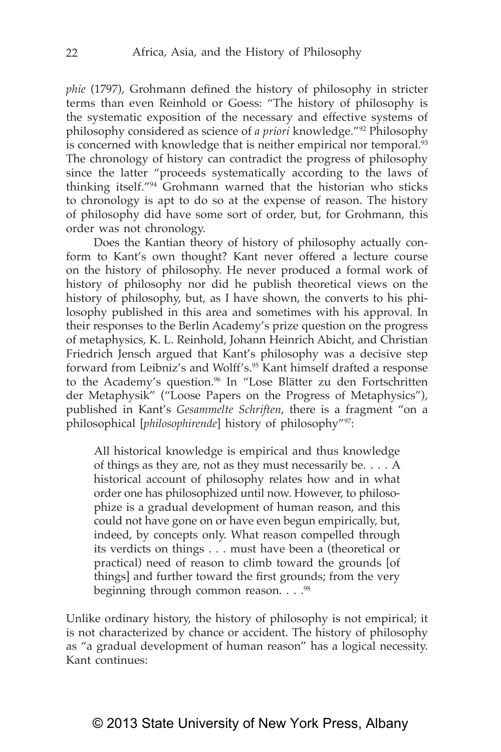*phie* (1797), Grohmann defined the history of philosophy in stricter terms than even Reinhold or Goess: "The history of philosophy is the systematic exposition of the necessary and effective systems of philosophy considered as science of *a priori* knowledge."92 Philosophy is concerned with knowledge that is neither empirical nor temporal.<sup>93</sup> The chronology of history can contradict the progress of philosophy since the latter "proceeds systematically according to the laws of thinking itself."94 Grohmann warned that the historian who sticks to chronology is apt to do so at the expense of reason. The history of philosophy did have some sort of order, but, for Grohmann, this order was not chronology.

Does the Kantian theory of history of philosophy actually conform to Kant's own thought? Kant never offered a lecture course on the history of philosophy. He never produced a formal work of history of philosophy nor did he publish theoretical views on the history of philosophy, but, as I have shown, the converts to his philosophy published in this area and sometimes with his approval. In their responses to the Berlin Academy's prize question on the progress of metaphysics, K. L. Reinhold, Johann Heinrich Abicht, and Christian Friedrich Jensch argued that Kant's philosophy was a decisive step forward from Leibniz's and Wolff's.95 Kant himself drafted a response to the Academy's question.<sup>96</sup> In "Lose Blätter zu den Fortschritten der Metaphysik" ("Loose Papers on the Progress of Metaphysics"), published in Kant's *Gesammelte Schriften*, there is a fragment "on a philosophical [*philosophirende*] history of philosophy"<sup>97</sup>:

All historical knowledge is empirical and thus knowledge of things as they are, not as they must necessarily be. . . . A historical account of philosophy relates how and in what order one has philosophized until now. However, to philosophize is a gradual development of human reason, and this could not have gone on or have even begun empirically, but, indeed, by concepts only. What reason compelled through its verdicts on things . . . must have been a (theoretical or practical) need of reason to climb toward the grounds [of things] and further toward the first grounds; from the very beginning through common reason. . . . 98

Unlike ordinary history, the history of philosophy is not empirical; it is not characterized by chance or accident. The history of philosophy as "a gradual development of human reason" has a logical necessity. Kant continues: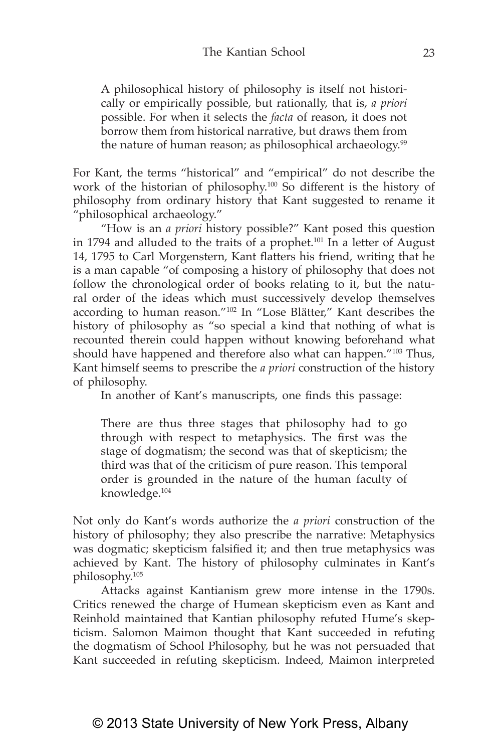A philosophical history of philosophy is itself not historically or empirically possible, but rationally, that is, *a priori* possible. For when it selects the *facta* of reason, it does not borrow them from historical narrative, but draws them from the nature of human reason; as philosophical archaeology.<sup>99</sup>

For Kant, the terms "historical" and "empirical" do not describe the work of the historian of philosophy.100 So different is the history of philosophy from ordinary history that Kant suggested to rename it "philosophical archaeology."

"How is an *a priori* history possible?" Kant posed this question in 1794 and alluded to the traits of a prophet.<sup>101</sup> In a letter of August 14, 1795 to Carl Morgenstern, Kant flatters his friend, writing that he is a man capable "of composing a history of philosophy that does not follow the chronological order of books relating to it, but the natural order of the ideas which must successively develop themselves according to human reason."102 In "Lose Blätter," Kant describes the history of philosophy as "so special a kind that nothing of what is recounted therein could happen without knowing beforehand what should have happened and therefore also what can happen."<sup>103</sup> Thus, Kant himself seems to prescribe the *a priori* construction of the history of philosophy.

In another of Kant's manuscripts, one finds this passage:

There are thus three stages that philosophy had to go through with respect to metaphysics. The first was the stage of dogmatism; the second was that of skepticism; the third was that of the criticism of pure reason. This temporal order is grounded in the nature of the human faculty of knowledge.104

Not only do Kant's words authorize the *a priori* construction of the history of philosophy; they also prescribe the narrative: Metaphysics was dogmatic; skepticism falsified it; and then true metaphysics was achieved by Kant. The history of philosophy culminates in Kant's philosophy.105

Attacks against Kantianism grew more intense in the 1790s. Critics renewed the charge of Humean skepticism even as Kant and Reinhold maintained that Kantian philosophy refuted Hume's skepticism. Salomon Maimon thought that Kant succeeded in refuting the dogmatism of School Philosophy, but he was not persuaded that Kant succeeded in refuting skepticism. Indeed, Maimon interpreted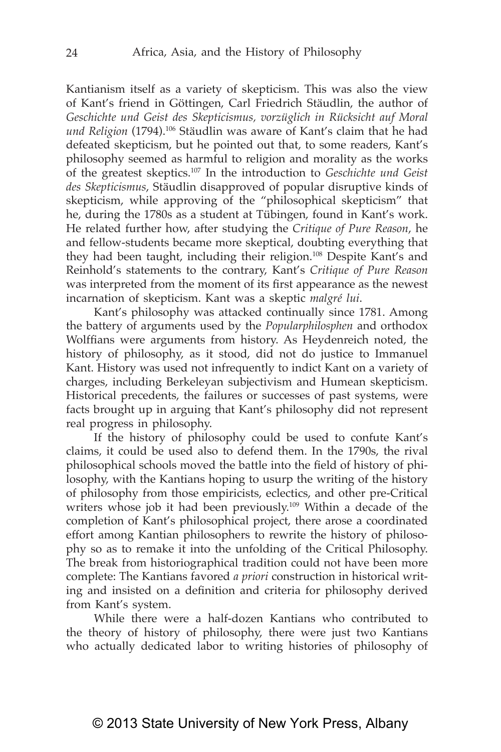Kantianism itself as a variety of skepticism. This was also the view of Kant's friend in Göttingen, Carl Friedrich Stäudlin, the author of *Geschichte und Geist des Skepticismus, vorzüglich in Rücksicht auf Moral und Religion* (1794).106 Stäudlin was aware of Kant's claim that he had defeated skepticism, but he pointed out that, to some readers, Kant's philosophy seemed as harmful to religion and morality as the works of the greatest skeptics.107 In the introduction to *Geschichte und Geist des Skepticismus*, Stäudlin disapproved of popular disruptive kinds of skepticism, while approving of the "philosophical skepticism" that he, during the 1780s as a student at Tübingen, found in Kant's work. He related further how, after studying the *Critique of Pure Reason*, he and fellow-students became more skeptical, doubting everything that they had been taught, including their religion.108 Despite Kant's and Reinhold's statements to the contrary, Kant's *Critique of Pure Reason* was interpreted from the moment of its first appearance as the newest incarnation of skepticism. Kant was a skeptic *malgré lui*.

Kant's philosophy was attacked continually since 1781. Among the battery of arguments used by the *Popularphilosphen* and orthodox Wolffians were arguments from history. As Heydenreich noted, the history of philosophy, as it stood, did not do justice to Immanuel Kant. History was used not infrequently to indict Kant on a variety of charges, including Berkeleyan subjectivism and Humean skepticism. Historical precedents, the failures or successes of past systems, were facts brought up in arguing that Kant's philosophy did not represent real progress in philosophy.

If the history of philosophy could be used to confute Kant's claims, it could be used also to defend them. In the 1790s, the rival philosophical schools moved the battle into the field of history of philosophy, with the Kantians hoping to usurp the writing of the history of philosophy from those empiricists, eclectics, and other pre-Critical writers whose job it had been previously.<sup>109</sup> Within a decade of the completion of Kant's philosophical project, there arose a coordinated effort among Kantian philosophers to rewrite the history of philosophy so as to remake it into the unfolding of the Critical Philosophy. The break from historiographical tradition could not have been more complete: The Kantians favored *a priori* construction in historical writing and insisted on a definition and criteria for philosophy derived from Kant's system.

While there were a half-dozen Kantians who contributed to the theory of history of philosophy, there were just two Kantians who actually dedicated labor to writing histories of philosophy of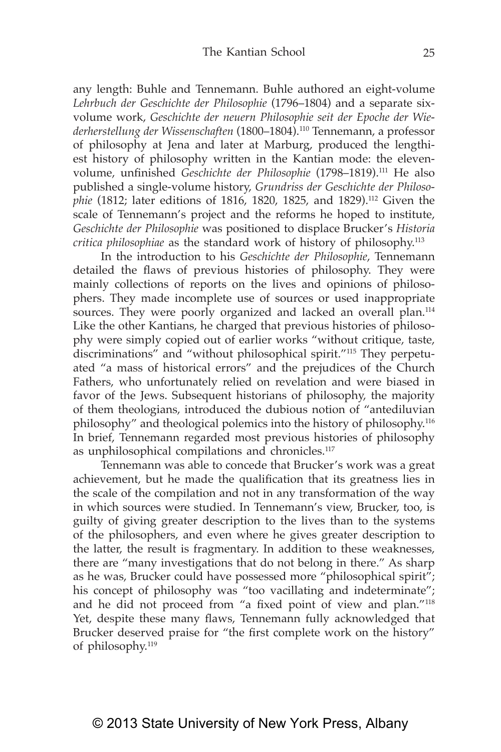any length: Buhle and Tennemann. Buhle authored an eight-volume *Lehrbuch der Geschichte der Philosophie* (1796–1804) and a separate sixvolume work, *Geschichte der neuern Philosophie seit der Epoche der Wiederherstellung der Wissenschaften* (1800–1804).110 Tennemann, a professor of philosophy at Jena and later at Marburg, produced the lengthiest history of philosophy written in the Kantian mode: the elevenvolume, unfinished *Geschichte der Philosophie* (1798–1819).111 He also published a single-volume history, *Grundriss der Geschichte der Philosophie* (1812; later editions of 1816, 1820, 1825, and 1829).<sup>112</sup> Given the scale of Tennemann's project and the reforms he hoped to institute, *Geschichte der Philosophie* was positioned to displace Brucker's *Historia critica philosophiae* as the standard work of history of philosophy.113

In the introduction to his *Geschichte der Philosophie*, Tennemann detailed the flaws of previous histories of philosophy. They were mainly collections of reports on the lives and opinions of philosophers. They made incomplete use of sources or used inappropriate sources. They were poorly organized and lacked an overall plan.<sup>114</sup> Like the other Kantians, he charged that previous histories of philosophy were simply copied out of earlier works "without critique, taste, discriminations" and "without philosophical spirit."<sup>115</sup> They perpetuated "a mass of historical errors" and the prejudices of the Church Fathers, who unfortunately relied on revelation and were biased in favor of the Jews. Subsequent historians of philosophy, the majority of them theologians, introduced the dubious notion of "antediluvian philosophy" and theological polemics into the history of philosophy.116 In brief, Tennemann regarded most previous histories of philosophy as unphilosophical compilations and chronicles.<sup>117</sup>

Tennemann was able to concede that Brucker's work was a great achievement, but he made the qualification that its greatness lies in the scale of the compilation and not in any transformation of the way in which sources were studied. In Tennemann's view, Brucker, too, is guilty of giving greater description to the lives than to the systems of the philosophers, and even where he gives greater description to the latter, the result is fragmentary. In addition to these weaknesses, there are "many investigations that do not belong in there." As sharp as he was, Brucker could have possessed more "philosophical spirit"; his concept of philosophy was "too vacillating and indeterminate"; and he did not proceed from "a fixed point of view and plan."<sup>118</sup> Yet, despite these many flaws, Tennemann fully acknowledged that Brucker deserved praise for "the first complete work on the history" of philosophy.119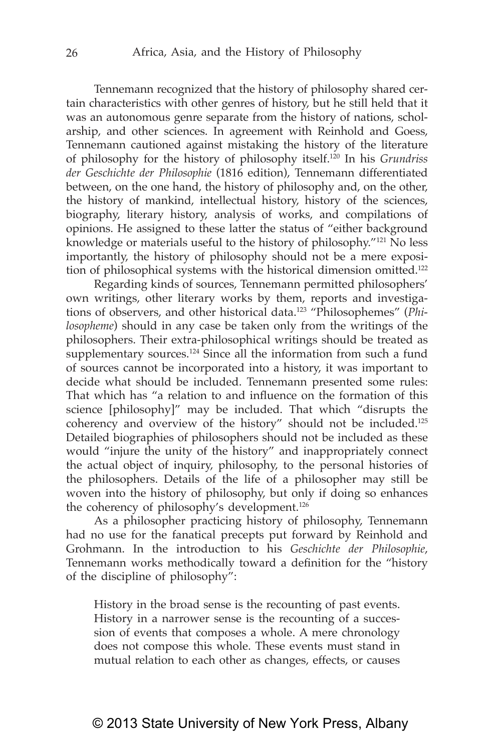Tennemann recognized that the history of philosophy shared certain characteristics with other genres of history, but he still held that it was an autonomous genre separate from the history of nations, scholarship, and other sciences. In agreement with Reinhold and Goess, Tennemann cautioned against mistaking the history of the literature of philosophy for the history of philosophy itself.120 In his *Grundriss der Geschichte der Philosophie* (1816 edition), Tennemann differentiated between, on the one hand, the history of philosophy and, on the other, the history of mankind, intellectual history, history of the sciences, biography, literary history, analysis of works, and compilations of opinions. He assigned to these latter the status of "either background knowledge or materials useful to the history of philosophy."121 No less importantly, the history of philosophy should not be a mere exposition of philosophical systems with the historical dimension omitted.<sup>122</sup>

Regarding kinds of sources, Tennemann permitted philosophers' own writings, other literary works by them, reports and investigations of observers, and other historical data.123 "Philosophemes" (*Philosopheme*) should in any case be taken only from the writings of the philosophers. Their extra-philosophical writings should be treated as supplementary sources.<sup>124</sup> Since all the information from such a fund of sources cannot be incorporated into a history, it was important to decide what should be included. Tennemann presented some rules: That which has "a relation to and influence on the formation of this science [philosophy]" may be included. That which "disrupts the coherency and overview of the history" should not be included.125 Detailed biographies of philosophers should not be included as these would "injure the unity of the history" and inappropriately connect the actual object of inquiry, philosophy, to the personal histories of the philosophers. Details of the life of a philosopher may still be woven into the history of philosophy, but only if doing so enhances the coherency of philosophy's development.126

As a philosopher practicing history of philosophy, Tennemann had no use for the fanatical precepts put forward by Reinhold and Grohmann. In the introduction to his *Geschichte der Philosophie*, Tennemann works methodically toward a definition for the "history of the discipline of philosophy":

History in the broad sense is the recounting of past events. History in a narrower sense is the recounting of a succession of events that composes a whole. A mere chronology does not compose this whole. These events must stand in mutual relation to each other as changes, effects, or causes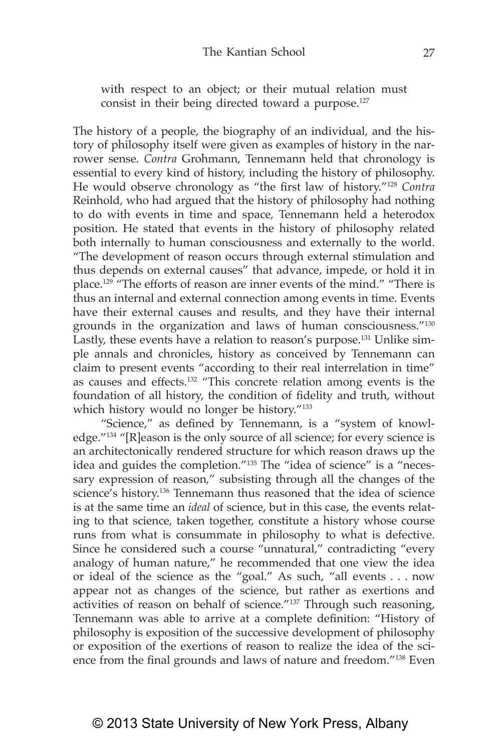with respect to an object; or their mutual relation must consist in their being directed toward a purpose.127

The history of a people, the biography of an individual, and the history of philosophy itself were given as examples of history in the narrower sense. *Contra* Grohmann, Tennemann held that chronology is essential to every kind of history, including the history of philosophy. He would observe chronology as "the first law of history."<sup>128</sup> *Contra* Reinhold, who had argued that the history of philosophy had nothing to do with events in time and space, Tennemann held a heterodox position. He stated that events in the history of philosophy related both internally to human consciousness and externally to the world. "The development of reason occurs through external stimulation and thus depends on external causes" that advance, impede, or hold it in place.129 "The efforts of reason are inner events of the mind." "There is thus an internal and external connection among events in time. Events have their external causes and results, and they have their internal grounds in the organization and laws of human consciousness."130 Lastly, these events have a relation to reason's purpose.<sup>131</sup> Unlike simple annals and chronicles, history as conceived by Tennemann can claim to present events "according to their real interrelation in time" as causes and effects.132 "This concrete relation among events is the foundation of all history, the condition of fidelity and truth, without which history would no longer be history."<sup>133</sup>

"Science," as defined by Tennemann, is a "system of knowledge."<sup>134</sup> "[R]eason is the only source of all science; for every science is an architectonically rendered structure for which reason draws up the idea and guides the completion."135 The "idea of science" is a "necessary expression of reason," subsisting through all the changes of the science's history.<sup>136</sup> Tennemann thus reasoned that the idea of science is at the same time an *ideal* of science, but in this case, the events relating to that science, taken together, constitute a history whose course runs from what is consummate in philosophy to what is defective. Since he considered such a course "unnatural," contradicting "every analogy of human nature," he recommended that one view the idea or ideal of the science as the "goal." As such, "all events . . . now appear not as changes of the science, but rather as exertions and activities of reason on behalf of science."137 Through such reasoning, Tennemann was able to arrive at a complete definition: "History of philosophy is exposition of the successive development of philosophy or exposition of the exertions of reason to realize the idea of the science from the final grounds and laws of nature and freedom."138 Even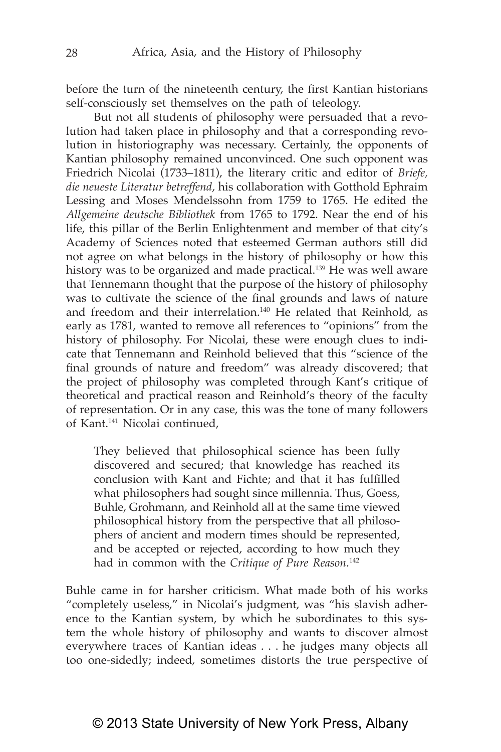before the turn of the nineteenth century, the first Kantian historians self-consciously set themselves on the path of teleology.

But not all students of philosophy were persuaded that a revolution had taken place in philosophy and that a corresponding revolution in historiography was necessary. Certainly, the opponents of Kantian philosophy remained unconvinced. One such opponent was Friedrich Nicolai (1733–1811), the literary critic and editor of *Briefe, die neueste Literatur betreffend*, his collaboration with Gotthold Ephraim Lessing and Moses Mendelssohn from 1759 to 1765. He edited the *Allgemeine deutsche Bibliothek* from 1765 to 1792. Near the end of his life, this pillar of the Berlin Enlightenment and member of that city's Academy of Sciences noted that esteemed German authors still did not agree on what belongs in the history of philosophy or how this history was to be organized and made practical.<sup>139</sup> He was well aware that Tennemann thought that the purpose of the history of philosophy was to cultivate the science of the final grounds and laws of nature and freedom and their interrelation.<sup>140</sup> He related that Reinhold, as early as 1781, wanted to remove all references to "opinions" from the history of philosophy. For Nicolai, these were enough clues to indicate that Tennemann and Reinhold believed that this "science of the final grounds of nature and freedom" was already discovered; that the project of philosophy was completed through Kant's critique of theoretical and practical reason and Reinhold's theory of the faculty of representation. Or in any case, this was the tone of many followers of Kant.141 Nicolai continued,

They believed that philosophical science has been fully discovered and secured; that knowledge has reached its conclusion with Kant and Fichte; and that it has fulfilled what philosophers had sought since millennia. Thus, Goess, Buhle, Grohmann, and Reinhold all at the same time viewed philosophical history from the perspective that all philosophers of ancient and modern times should be represented, and be accepted or rejected, according to how much they had in common with the *Critique of Pure Reason*. 142

Buhle came in for harsher criticism. What made both of his works "completely useless," in Nicolai's judgment, was "his slavish adherence to the Kantian system, by which he subordinates to this system the whole history of philosophy and wants to discover almost everywhere traces of Kantian ideas . . . he judges many objects all too one-sidedly; indeed, sometimes distorts the true perspective of